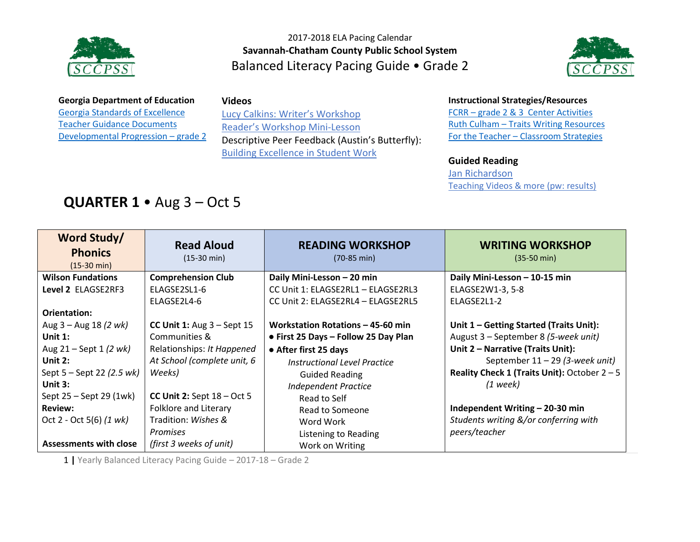



#### **Georgia Department of Education** [Georgia Standards of Excellence](https://drive.google.com/open?id=0B9TBXLcHMe3Wd0laYnc0NmQ0WGc) [Teacher Guidance Documents](https://drive.google.com/open?id=0B9TBXLcHMe3WSDFvQU5wSVY1dVE) [Developmental Progression](https://drive.google.com/open?id=0B9TBXLcHMe3WQ1FscC1Cd21mNXM) – grade [2](https://drive.google.com/open?id=0B9TBXLcHMe3WQ1FscC1Cd21mNXM)

#### **Videos**

Lucy Calkins: W[riter's Workshop](https://www.youtube.com/watch?v=zPRM2ZXyrS0&list=PLb5RXypPqP5sNAYNUDEfwaq2QYPauhCcc) [Reader's Workshop Mini](https://www.youtube.com/watch?v=x-wGHenBAEc&index=13&list=PL1R9MLStsjiGBNHPeCMUidYAVX0_1GwNj)-Lesson Descriptive Peer Feedback (Austin's Butterfly): [Building Excellence in Student Work](https://vimeo.com/38247060)

#### **Instructional Strategies/Resources**

FCRR – [grade 2 & 3 Center Activities](http://www.fcrr.org/resources/resources_sca_2-3.html)  Ruth Culham – [Traits Writing Resources](http://www.culhamwriting.com/LIBRARY/RESOURCES/scoringguides.html) For the Teacher – [Classroom Strategies](http://www.fortheteachers.org/instructional_strategies/)

#### **Guided Reading**

[Jan Richardson](http://www.janrichardsonguidedreading.com/home) [Teaching Videos & more \(pw: results\)](http://www.scholastic.com/NSFresources/)

# **QUARTER 1** • Aug 3 – Oct 5

| Word Study/<br><b>Phonics</b><br>$(15-30 \text{ min})$ | <b>Read Aloud</b><br>$(15-30 \text{ min})$ | <b>READING WORKSHOP</b><br>$(70-85 \text{ min})$ | <b>WRITING WORKSHOP</b><br>$(35-50 \text{ min})$ |
|--------------------------------------------------------|--------------------------------------------|--------------------------------------------------|--------------------------------------------------|
| <b>Wilson Fundations</b>                               | <b>Comprehension Club</b>                  | Daily Mini-Lesson - 20 min                       | Daily Mini-Lesson - 10-15 min                    |
| Level 2 ELAGSE2RF3                                     | ELAGSE2SL1-6                               | CC Unit 1: ELAGSE2RL1 - ELAGSE2RL3               | ELAGSE2W1-3, 5-8                                 |
|                                                        | ELAGSE2L4-6                                | CC Unit 2: ELAGSE2RL4 - ELAGSE2RL5               | ELAGSE2L1-2                                      |
| Orientation:                                           |                                            |                                                  |                                                  |
| Aug $3 -$ Aug 18 (2 wk)                                | CC Unit 1: Aug $3 -$ Sept 15               | Workstation Rotations - 45-60 min                | Unit $1$ – Getting Started (Traits Unit):        |
| Unit $1$ :                                             | Communities &                              | • First 25 Days - Follow 25 Day Plan             | August 3 - September 8 (5-week unit)             |
| Aug $21 -$ Sept 1 (2 wk)                               | Relationships: It Happened                 | • After first 25 days                            | Unit 2 - Narrative (Traits Unit):                |
| Unit $2:$                                              | At School (complete unit, 6                | Instructional Level Practice                     | September 11 - 29 (3-week unit)                  |
| Sept $5 -$ Sept 22 (2.5 wk)                            | Weeks)                                     | <b>Guided Reading</b>                            | Reality Check 1 (Traits Unit): October $2 - 5$   |
| Unit $3:$                                              |                                            | <b>Independent Practice</b>                      | $(1$ week)                                       |
| Sept 25 – Sept 29 (1wk)                                | CC Unit 2: Sept $18 - Oct 5$               | Read to Self                                     |                                                  |
| <b>Review:</b>                                         | Folklore and Literary                      | Read to Someone                                  | Independent Writing - 20-30 min                  |
| Oct 2 - Oct 5(6) $(1 \text{ wk})$                      | Tradition: Wishes &                        | Word Work                                        | Students writing &/or conferring with            |
|                                                        | <b>Promises</b>                            | Listening to Reading                             | peers/teacher                                    |
| <b>Assessments with close</b>                          | (first 3 weeks of unit)                    | Work on Writing                                  |                                                  |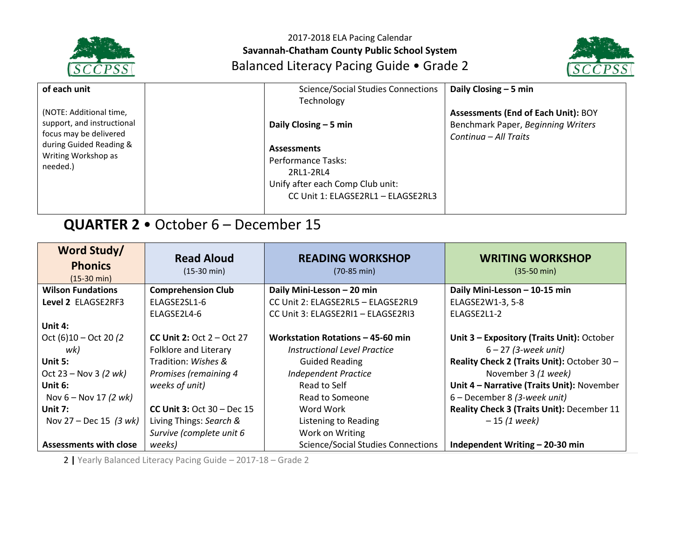



| of each unit<br>(NOTE: Additional time,<br>support, and instructional<br>focus may be delivered<br>during Guided Reading &<br>Writing Workshop as<br>needed.) | <b>Science/Social Studies Connections</b><br>Technology<br>Daily Closing $-5$ min<br><b>Assessments</b><br>Performance Tasks: | Daily Closing - 5 min<br><b>Assessments (End of Each Unit): BOY</b><br>Benchmark Paper, Beginning Writers<br>Continua – All Traits |
|---------------------------------------------------------------------------------------------------------------------------------------------------------------|-------------------------------------------------------------------------------------------------------------------------------|------------------------------------------------------------------------------------------------------------------------------------|
|                                                                                                                                                               | 2RL1-2RL4<br>Unify after each Comp Club unit:<br>CC Unit 1: ELAGSE2RL1 - ELAGSE2RL3                                           |                                                                                                                                    |

# **QUARTER 2** • October 6 – December 15

| <b>Word Study/</b><br><b>Phonics</b><br>$(15-30 \text{ min})$ | <b>Read Aloud</b><br>$(15-30 \text{ min})$ | <b>READING WORKSHOP</b><br>$(70-85 \text{ min})$ | <b>WRITING WORKSHOP</b><br>$(35-50 \text{ min})$ |
|---------------------------------------------------------------|--------------------------------------------|--------------------------------------------------|--------------------------------------------------|
| <b>Wilson Fundations</b>                                      | <b>Comprehension Club</b>                  | Daily Mini-Lesson - 20 min                       | Daily Mini-Lesson - 10-15 min                    |
| Level 2 ELAGSE2RF3                                            | ELAGSE2SL1-6                               | CC Unit 2: ELAGSE2RL5 - ELAGSE2RL9               | ELAGSE2W1-3, 5-8                                 |
|                                                               | ELAGSE2L4-6                                | CC Unit 3: ELAGSE2RI1 - ELAGSE2RI3               | ELAGSE2L1-2                                      |
| Unit 4:                                                       |                                            |                                                  |                                                  |
| Oct $(6)10 - Oct 20 (2)$                                      | <b>CC Unit 2:</b> Oct $2 - Oct$ 27         | Workstation Rotations - 45-60 min                | Unit 3 - Expository (Traits Unit): October       |
| wk)                                                           | Folklore and Literary                      | Instructional Level Practice                     | $6 - 27$ (3-week unit)                           |
| Unit 5:                                                       | Tradition: Wishes &                        | <b>Guided Reading</b>                            | Reality Check 2 (Traits Unit): October 30 -      |
| Oct 23 – Nov 3 $(2 w k)$                                      | Promises (remaining 4                      | <b>Independent Practice</b>                      | November 3 (1 week)                              |
| Unit 6:                                                       | weeks of unit)                             | Read to Self                                     | Unit 4 - Narrative (Traits Unit): November       |
| Nov $6 -$ Nov 17 (2 wk)                                       |                                            | Read to Someone                                  | 6 – December 8 (3-week unit)                     |
| Unit $7:$                                                     | CC Unit $3:$ Oct $30 -$ Dec $15$           | Word Work                                        | Reality Check 3 (Traits Unit): December 11       |
| Nov 27 – Dec 15 (3 $wk$ )                                     | Living Things: Search &                    | Listening to Reading                             | $-15(1 week)$                                    |
|                                                               | Survive (complete unit 6                   | Work on Writing                                  |                                                  |
| <b>Assessments with close</b>                                 | weeks)                                     | <b>Science/Social Studies Connections</b>        | Independent Writing - 20-30 min                  |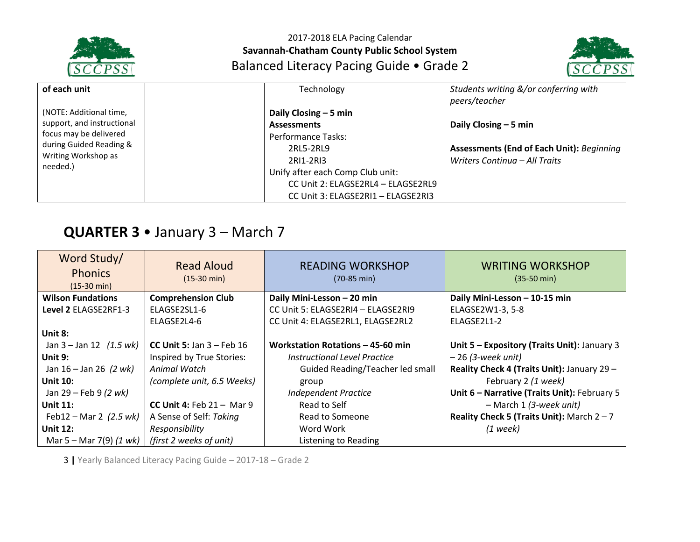



| of each unit                                                                         | Technology                         | Students writing &/or conferring with            |
|--------------------------------------------------------------------------------------|------------------------------------|--------------------------------------------------|
|                                                                                      |                                    | peers/teacher                                    |
| (NOTE: Additional time,                                                              | Daily Closing $-5$ min             |                                                  |
| support, and instructional                                                           | <b>Assessments</b>                 | Daily Closing $-5$ min                           |
| focus may be delivered<br>during Guided Reading &<br>Writing Workshop as<br>needed.) | Performance Tasks:                 |                                                  |
|                                                                                      | 2RL5-2RL9                          | <b>Assessments (End of Each Unit): Beginning</b> |
|                                                                                      | 2RI1-2RI3                          | Writers Continua - All Traits                    |
|                                                                                      | Unify after each Comp Club unit:   |                                                  |
|                                                                                      | CC Unit 2: ELAGSE2RL4 - ELAGSE2RL9 |                                                  |
|                                                                                      | CC Unit 3: ELAGSE2RI1 - ELAGSE2RI3 |                                                  |

# **QUARTER 3** • January 3 – March 7

| Word Study/<br><b>Phonics</b><br>$(15-30 \text{ min})$ | <b>Read Aloud</b><br>$(15-30 \text{ min})$ | <b>READING WORKSHOP</b><br>$(70-85 \text{ min})$ | <b>WRITING WORKSHOP</b><br>$(35-50 \text{ min})$ |
|--------------------------------------------------------|--------------------------------------------|--------------------------------------------------|--------------------------------------------------|
| <b>Wilson Fundations</b>                               | <b>Comprehension Club</b>                  | Daily Mini-Lesson - 20 min                       | Daily Mini-Lesson - 10-15 min                    |
| Level 2 ELAGSE2RF1-3                                   | ELAGSE2SL1-6                               | CC Unit 5: ELAGSE2RI4 - ELAGSE2RI9               | ELAGSE2W1-3, 5-8                                 |
|                                                        | ELAGSE2L4-6                                | CC Unit 4: ELAGSE2RL1, ELAGSE2RL2                | ELAGSE2L1-2                                      |
| Unit 8:                                                |                                            |                                                  |                                                  |
| Jan $3 -$ Jan $12$ (1.5 wk)                            | CC Unit 5: Jan $3$ – Feb 16                | Workstation Rotations - 45-60 min                | Unit 5 - Expository (Traits Unit): January 3     |
| Unit $9:$                                              | Inspired by True Stories:                  | Instructional Level Practice                     | $-26$ (3-week unit)                              |
| Jan $16 -$ Jan 26 (2 wk)                               | Animal Watch                               | Guided Reading/Teacher led small                 | Reality Check 4 (Traits Unit): January 29 -      |
| <b>Unit 10:</b>                                        | (complete unit, 6.5 Weeks)                 | group                                            | February 2 (1 week)                              |
| Jan 29 – Feb 9 (2 wk)                                  |                                            | <b>Independent Practice</b>                      | Unit 6 - Narrative (Traits Unit): February 5     |
| Unit $11$ :                                            | CC Unit 4: Feb $21 -$ Mar 9                | Read to Self                                     | - March 1 (3-week unit)                          |
| Feb12 – Mar 2 $(2.5 \text{ wk})$                       | A Sense of Self: Taking                    | Read to Someone                                  | Reality Check 5 (Traits Unit): March $2 - 7$     |
| <b>Unit 12:</b>                                        | Responsibility                             | Word Work                                        | $(1$ week)                                       |
| Mar 5 – Mar 7(9) $(1 \text{ wk})$                      | (first 2 weeks of unit)                    | Listening to Reading                             |                                                  |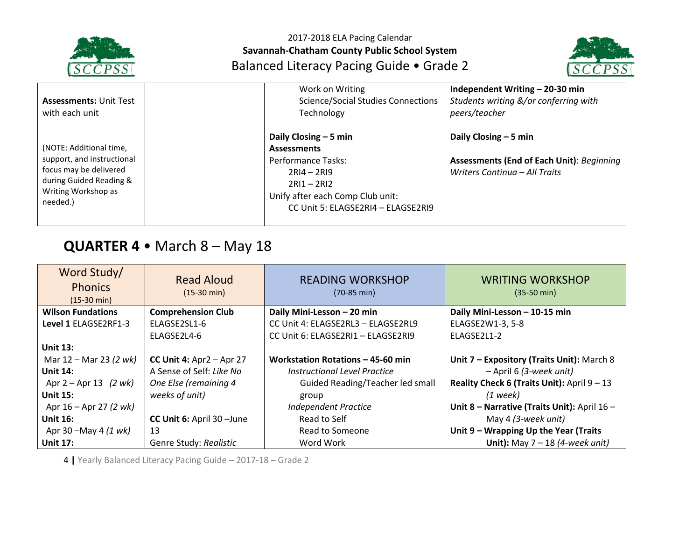



| <b>Assessments: Unit Test</b><br>with each unit                                                                                               | Work on Writing<br><b>Science/Social Studies Connections</b><br>Technology                                                                                                     | Independent Writing - 20-30 min<br>Students writing &/or conferring with<br>peers/teacher                   |
|-----------------------------------------------------------------------------------------------------------------------------------------------|--------------------------------------------------------------------------------------------------------------------------------------------------------------------------------|-------------------------------------------------------------------------------------------------------------|
| (NOTE: Additional time,<br>support, and instructional<br>focus may be delivered<br>during Guided Reading &<br>Writing Workshop as<br>needed.) | Daily Closing $-5$ min<br><b>Assessments</b><br>Performance Tasks:<br>$2RI4 - 2RI9$<br>$2R11 - 2R12$<br>Unify after each Comp Club unit:<br>CC Unit 5: ELAGSE2RI4 - ELAGSE2RI9 | Daily Closing $-5$ min<br><b>Assessments (End of Each Unit): Beginning</b><br>Writers Continua - All Traits |

# **QUARTER 4** • March 8 – May 18

| Word Study/<br><b>Phonics</b><br>$(15-30 \text{ min})$ | <b>Read Aloud</b><br>$(15-30 \text{ min})$ | <b>READING WORKSHOP</b><br>$(70-85 \text{ min})$ | <b>WRITING WORKSHOP</b><br>$(35-50 \text{ min})$ |
|--------------------------------------------------------|--------------------------------------------|--------------------------------------------------|--------------------------------------------------|
| <b>Wilson Fundations</b>                               | <b>Comprehension Club</b>                  | Daily Mini-Lesson - 20 min                       | Daily Mini-Lesson - 10-15 min                    |
| Level 1 ELAGSE2RF1-3                                   | ELAGSE2SL1-6                               | CC Unit 4: ELAGSE2RL3 - ELAGSE2RL9               | ELAGSE2W1-3, 5-8                                 |
|                                                        | ELAGSE2L4-6                                | CC Unit 6: ELAGSE2RI1 - ELAGSE2RI9               | ELAGSE2L1-2                                      |
| <b>Unit 13:</b>                                        |                                            |                                                  |                                                  |
| Mar 12 – Mar 23 (2 wk)                                 | CC Unit 4: $Apr2 - Apr27$                  | Workstation Rotations - 45-60 min                | Unit 7 - Expository (Traits Unit): March 8       |
| <b>Unit 14:</b>                                        | A Sense of Self: Like No                   | Instructional Level Practice                     | - April 6 (3-week unit)                          |
| Apr $2 -$ Apr 13 (2 wk)                                | One Else (remaining 4                      | Guided Reading/Teacher led small                 | Reality Check 6 (Traits Unit): April 9 - 13      |
| <b>Unit 15:</b>                                        | weeks of unit)                             | group                                            | $(1$ week)                                       |
| Apr $16 -$ Apr 27 (2 wk)                               |                                            | <b>Independent Practice</b>                      | Unit 8 - Narrative (Traits Unit): April 16 -     |
| <b>Unit 16:</b>                                        | CC Unit 6: April 30 - June                 | Read to Self                                     | May 4 (3-week unit)                              |
| Apr 30 – May 4 (1 wk)                                  | 13                                         | Read to Someone                                  | Unit 9 - Wrapping Up the Year (Traits            |
| <b>Unit 17:</b>                                        | Genre Study: Realistic                     | Word Work                                        | Unit): May $7 - 18$ (4-week unit)                |